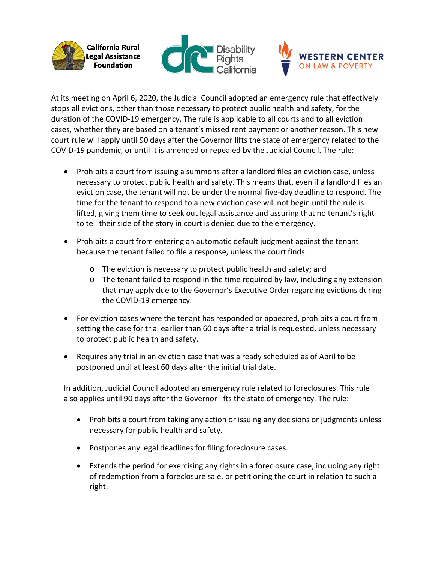





At its meeting on April 6, 2020, the Judicial Council adopted an emergency rule that effectively stops all evictions, other than those necessary to protect public health and safety, for the duration of the COVID-19 emergency. The rule is applicable to all courts and to all eviction cases, whether they are based on a tenant's missed rent payment or another reason. This new court rule will apply until 90 days after the Governor lifts the state of emergency related to the COVID-19 pandemic, or until it is amended or repealed by the Judicial Council. The rule:

- Prohibits a court from issuing a summons after a landlord files an eviction case, unless necessary to protect public health and safety. This means that, even if a landlord files an eviction case, the tenant will not be under the normal five-day deadline to respond. The time for the tenant to respond to a new eviction case will not begin until the rule is lifted, giving them time to seek out legal assistance and assuring that no tenant's right to tell their side of the story in court is denied due to the emergency.
- Prohibits a court from entering an automatic default judgment against the tenant because the tenant failed to file a response, unless the court finds:
	- o The eviction is necessary to protect public health and safety; and
	- $\circ$  The tenant failed to respond in the time required by law, including any extension that may apply due to the Governor's Executive Order regarding evictions during the COVID-19 emergency.
- For eviction cases where the tenant has responded or appeared, prohibits a court from setting the case for trial earlier than 60 days after a trial is requested, unless necessary to protect public health and safety.
- Requires any trial in an eviction case that was already scheduled as of April to be postponed until at least 60 days after the initial trial date.

In addition, Judicial Council adopted an emergency rule related to foreclosures. This rule also applies until 90 days after the Governor lifts the state of emergency. The rule:

- Prohibits a court from taking any action or issuing any decisions or judgments unless necessary for public health and safety.
- Postpones any legal deadlines for filing foreclosure cases.
- Extends the period for exercising any rights in a foreclosure case, including any right of redemption from a foreclosure sale, or petitioning the court in relation to such a right.